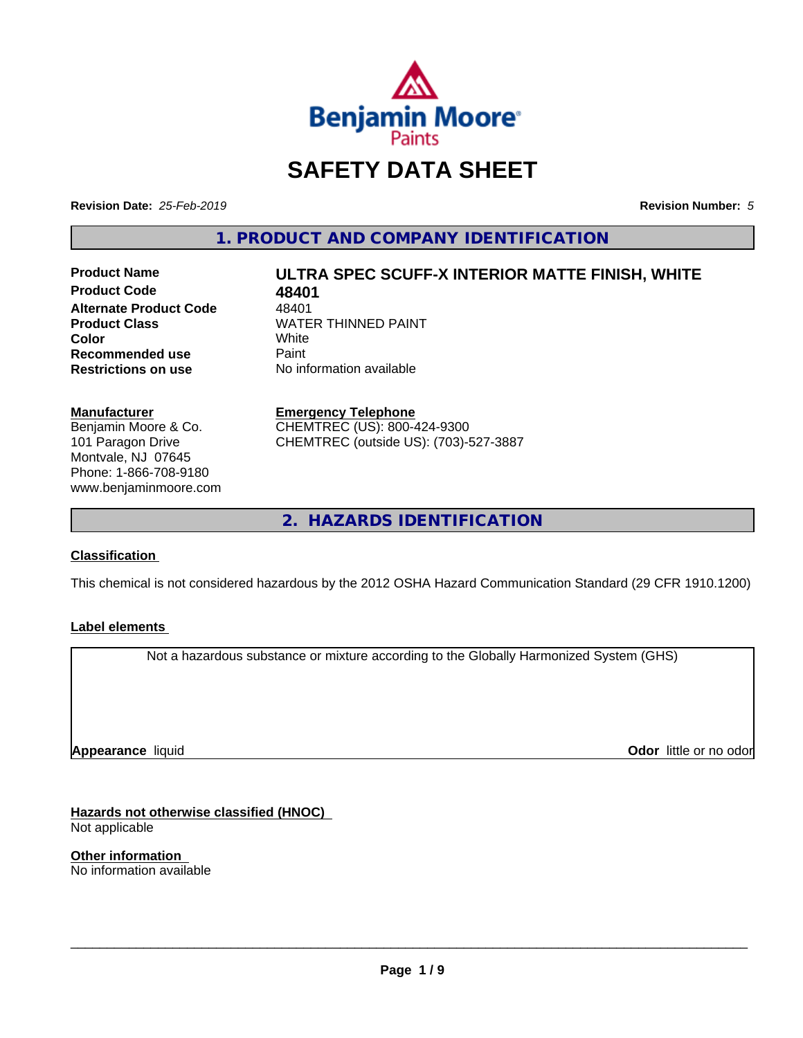

# **SAFETY DATA SHEET**

**Revision Date:** *25-Feb-2019* **Revision Number:** *5*

**1. PRODUCT AND COMPANY IDENTIFICATION**

**Product Code 48401 Alternate Product Code** 48401<br>Product Class **MATE Recommended use** Paint<br> **Restrictions on use** No inf

# **Product Name ULTRA SPEC SCUFF-X INTERIOR MATTE FINISH, WHITE**

**WATER THINNED PAINT**<br>White **Color** White White **Restrictions on use** No information available

**Manufacturer** Benjamin Moore & Co. 101 Paragon Drive Montvale, NJ 07645 Phone: 1-866-708-9180 www.benjaminmoore.com

#### **Emergency Telephone**

CHEMTREC (US): 800-424-9300 CHEMTREC (outside US): (703)-527-3887

**2. HAZARDS IDENTIFICATION**

## **Classification**

This chemical is not considered hazardous by the 2012 OSHA Hazard Communication Standard (29 CFR 1910.1200)

#### **Label elements**

Not a hazardous substance or mixture according to the Globally Harmonized System (GHS)

**Appearance** liquid

**Odor** little or no odor

**Hazards not otherwise classified (HNOC)** Not applicable

**Other information** No information available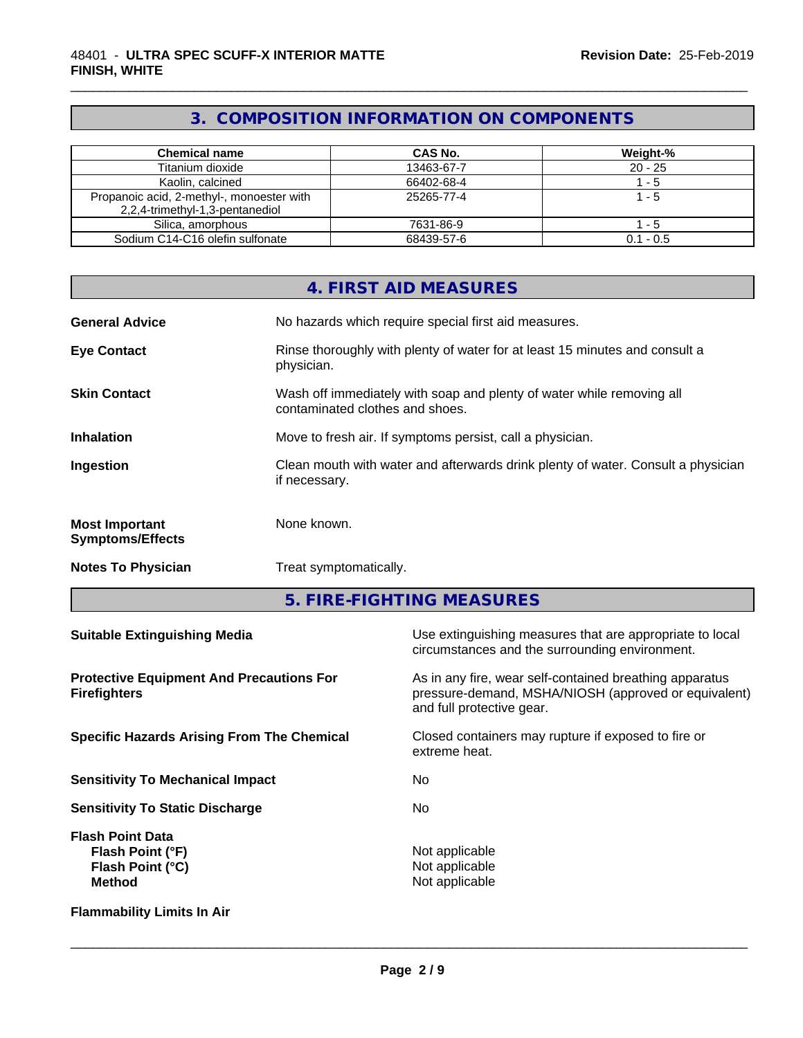# **3. COMPOSITION INFORMATION ON COMPONENTS**

\_\_\_\_\_\_\_\_\_\_\_\_\_\_\_\_\_\_\_\_\_\_\_\_\_\_\_\_\_\_\_\_\_\_\_\_\_\_\_\_\_\_\_\_\_\_\_\_\_\_\_\_\_\_\_\_\_\_\_\_\_\_\_\_\_\_\_\_\_\_\_\_\_\_\_\_\_\_\_\_\_\_\_\_\_\_\_\_\_\_\_\_\_

| <b>Chemical name</b>                                                         | CAS No.    | Weight-%    |
|------------------------------------------------------------------------------|------------|-------------|
| Titanium dioxide                                                             | 13463-67-7 | $20 - 25$   |
| Kaolin, calcined                                                             | 66402-68-4 | $-5$        |
| Propanoic acid, 2-methyl-, monoester with<br>2,2,4-trimethyl-1,3-pentanediol | 25265-77-4 | l - 5       |
| Silica, amorphous                                                            | 7631-86-9  | $-5$        |
| Sodium C14-C16 olefin sulfonate                                              | 68439-57-6 | $0.1 - 0.5$ |

|                                                                                  |               | <b>4. FIRST AID MEASURES</b>                                                                                                                 |  |
|----------------------------------------------------------------------------------|---------------|----------------------------------------------------------------------------------------------------------------------------------------------|--|
| <b>General Advice</b>                                                            |               | No hazards which require special first aid measures.                                                                                         |  |
| <b>Eye Contact</b>                                                               | physician.    | Rinse thoroughly with plenty of water for at least 15 minutes and consult a                                                                  |  |
| <b>Skin Contact</b>                                                              |               | Wash off immediately with soap and plenty of water while removing all<br>contaminated clothes and shoes.                                     |  |
| <b>Inhalation</b>                                                                |               | Move to fresh air. If symptoms persist, call a physician.                                                                                    |  |
| Ingestion                                                                        | if necessary. | Clean mouth with water and afterwards drink plenty of water. Consult a physician                                                             |  |
| <b>Most Important</b><br><b>Symptoms/Effects</b>                                 | None known.   |                                                                                                                                              |  |
| <b>Notes To Physician</b>                                                        |               | Treat symptomatically.                                                                                                                       |  |
|                                                                                  |               | 5. FIRE-FIGHTING MEASURES                                                                                                                    |  |
| <b>Suitable Extinguishing Media</b>                                              |               | Use extinguishing measures that are appropriate to local<br>circumstances and the surrounding environment.                                   |  |
| <b>Protective Equipment And Precautions For</b><br><b>Firefighters</b>           |               | As in any fire, wear self-contained breathing apparatus<br>pressure-demand, MSHA/NIOSH (approved or equivalent)<br>and full protective gear. |  |
| <b>Specific Hazards Arising From The Chemical</b>                                |               | Closed containers may rupture if exposed to fire or<br>extreme heat.                                                                         |  |
| <b>Sensitivity To Mechanical Impact</b>                                          |               | No                                                                                                                                           |  |
| <b>Sensitivity To Static Discharge</b><br>No                                     |               |                                                                                                                                              |  |
| <b>Flash Point Data</b><br>Flash Point (°F)<br>Flash Point (°C)<br><b>Method</b> |               | Not applicable<br>Not applicable<br>Not applicable                                                                                           |  |

**Flammability Limits In Air**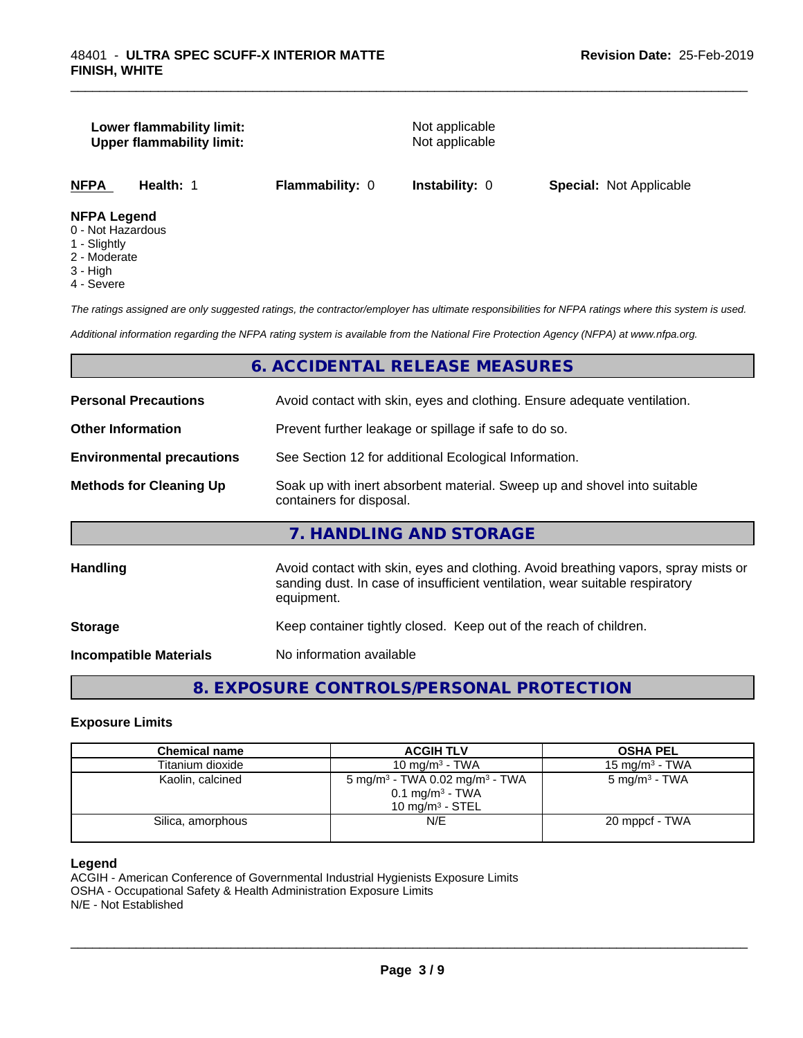#### **Lower flammability limit:** Not applicable **Upper flammability limit:** Not applicable

\_\_\_\_\_\_\_\_\_\_\_\_\_\_\_\_\_\_\_\_\_\_\_\_\_\_\_\_\_\_\_\_\_\_\_\_\_\_\_\_\_\_\_\_\_\_\_\_\_\_\_\_\_\_\_\_\_\_\_\_\_\_\_\_\_\_\_\_\_\_\_\_\_\_\_\_\_\_\_\_\_\_\_\_\_\_\_\_\_\_\_\_\_

**NFPA Health:** 1 **Flammability:** 0 **Instability:** 0 **Special:** Not Applicable

#### **NFPA Legend**

- 0 Not Hazardous
- 1 Slightly
- 2 Moderate
- 3 High
- 4 Severe

*The ratings assigned are only suggested ratings, the contractor/employer has ultimate responsibilities for NFPA ratings where this system is used.*

*Additional information regarding the NFPA rating system is available from the National Fire Protection Agency (NFPA) at www.nfpa.org.*

#### **6. ACCIDENTAL RELEASE MEASURES**

| <b>Personal Precautions</b>      | Avoid contact with skin, eyes and clothing. Ensure adequate ventilation.                                                                                                         |
|----------------------------------|----------------------------------------------------------------------------------------------------------------------------------------------------------------------------------|
| <b>Other Information</b>         | Prevent further leakage or spillage if safe to do so.                                                                                                                            |
| <b>Environmental precautions</b> | See Section 12 for additional Ecological Information.                                                                                                                            |
| <b>Methods for Cleaning Up</b>   | Soak up with inert absorbent material. Sweep up and shovel into suitable<br>containers for disposal.                                                                             |
|                                  | 7. HANDLING AND STORAGE                                                                                                                                                          |
| <b>Handling</b>                  | Avoid contact with skin, eyes and clothing. Avoid breathing vapors, spray mists or<br>sanding dust. In case of insufficient ventilation, wear suitable respiratory<br>equipment. |
| <b>Storage</b>                   | Keep container tightly closed. Keep out of the reach of children.                                                                                                                |
| <b>Incompatible Materials</b>    | No information available                                                                                                                                                         |
|                                  |                                                                                                                                                                                  |

**8. EXPOSURE CONTROLS/PERSONAL PROTECTION**

#### **Exposure Limits**

| Chemical name     | <b>ACGIH TLV</b>                                                                                           | <b>OSHA PEL</b>           |
|-------------------|------------------------------------------------------------------------------------------------------------|---------------------------|
| Titanium dioxide  | 10 mg/m $3$ - TWA                                                                                          | 15 mg/m $3$ - TWA         |
| Kaolin, calcined  | 5 mg/m <sup>3</sup> - TWA 0.02 mg/m <sup>3</sup> - TWA<br>$0.1 \text{ mg/m}^3$ - TWA<br>10 mg/m $3$ - STEL | 5 mg/m <sup>3</sup> - TWA |
| Silica, amorphous | N/E                                                                                                        | 20 mppcf - TWA            |

#### **Legend**

ACGIH - American Conference of Governmental Industrial Hygienists Exposure Limits OSHA - Occupational Safety & Health Administration Exposure Limits N/E - Not Established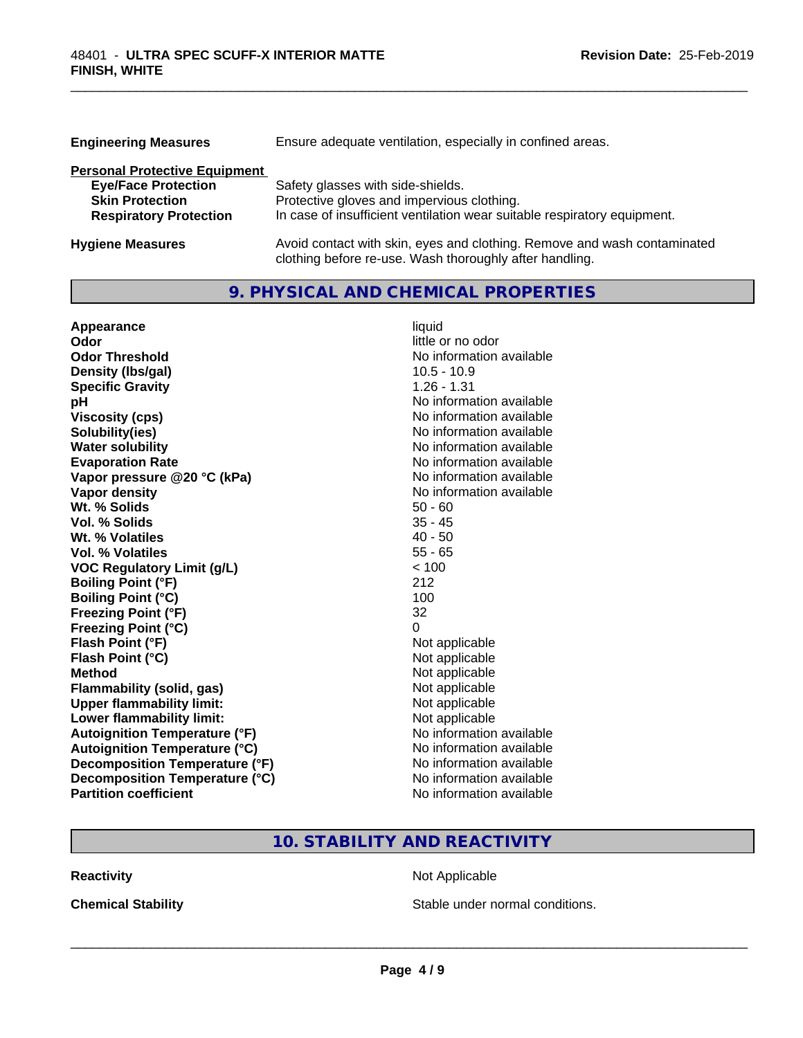| <b>Engineering Measures</b>          | Ensure adequate ventilation, especially in confined areas.               |  |  |
|--------------------------------------|--------------------------------------------------------------------------|--|--|
| <b>Personal Protective Equipment</b> |                                                                          |  |  |
| <b>Eye/Face Protection</b>           | Safety glasses with side-shields.                                        |  |  |
| <b>Skin Protection</b>               | Protective gloves and impervious clothing.                               |  |  |
| <b>Respiratory Protection</b>        | In case of insufficient ventilation wear suitable respiratory equipment. |  |  |
| <b>Hygiene Measures</b>              | Avoid contact with skin, eyes and clothing. Remove and wash contaminated |  |  |

clothing before re-use. Wash thoroughly after handling.

\_\_\_\_\_\_\_\_\_\_\_\_\_\_\_\_\_\_\_\_\_\_\_\_\_\_\_\_\_\_\_\_\_\_\_\_\_\_\_\_\_\_\_\_\_\_\_\_\_\_\_\_\_\_\_\_\_\_\_\_\_\_\_\_\_\_\_\_\_\_\_\_\_\_\_\_\_\_\_\_\_\_\_\_\_\_\_\_\_\_\_\_\_

# **9. PHYSICAL AND CHEMICAL PROPERTIES**

| Appearance                           | liquid                   |
|--------------------------------------|--------------------------|
| Odor                                 | little or no odor        |
| <b>Odor Threshold</b>                | No information available |
| Density (Ibs/gal)                    | $10.5 - 10.9$            |
| <b>Specific Gravity</b>              | $1.26 - 1.31$            |
| pH                                   | No information available |
| <b>Viscosity (cps)</b>               | No information available |
| Solubility(ies)                      | No information available |
| <b>Water solubility</b>              | No information available |
| <b>Evaporation Rate</b>              | No information available |
| Vapor pressure @20 °C (kPa)          | No information available |
| Vapor density                        | No information available |
| Wt. % Solids                         | $50 - 60$                |
| Vol. % Solids                        | $35 - 45$                |
| Wt. % Volatiles                      | $40 - 50$                |
| Vol. % Volatiles                     | $55 - 65$                |
| <b>VOC Regulatory Limit (g/L)</b>    | < 100                    |
| <b>Boiling Point (°F)</b>            | 212                      |
| <b>Boiling Point (°C)</b>            | 100                      |
| <b>Freezing Point (°F)</b>           | 32                       |
| <b>Freezing Point (°C)</b>           | 0                        |
| Flash Point (°F)                     | Not applicable           |
| Flash Point (°C)                     | Not applicable           |
| <b>Method</b>                        | Not applicable           |
| <b>Flammability (solid, gas)</b>     | Not applicable           |
| <b>Upper flammability limit:</b>     | Not applicable           |
| Lower flammability limit:            | Not applicable           |
| <b>Autoignition Temperature (°F)</b> | No information available |
| <b>Autoignition Temperature (°C)</b> | No information available |
| Decomposition Temperature (°F)       | No information available |
| Decomposition Temperature (°C)       | No information available |
| <b>Partition coefficient</b>         | No information available |

# **10. STABILITY AND REACTIVITY**

**Reactivity Not Applicable** Not Applicable

**Chemical Stability Chemical Stability** Stable under normal conditions.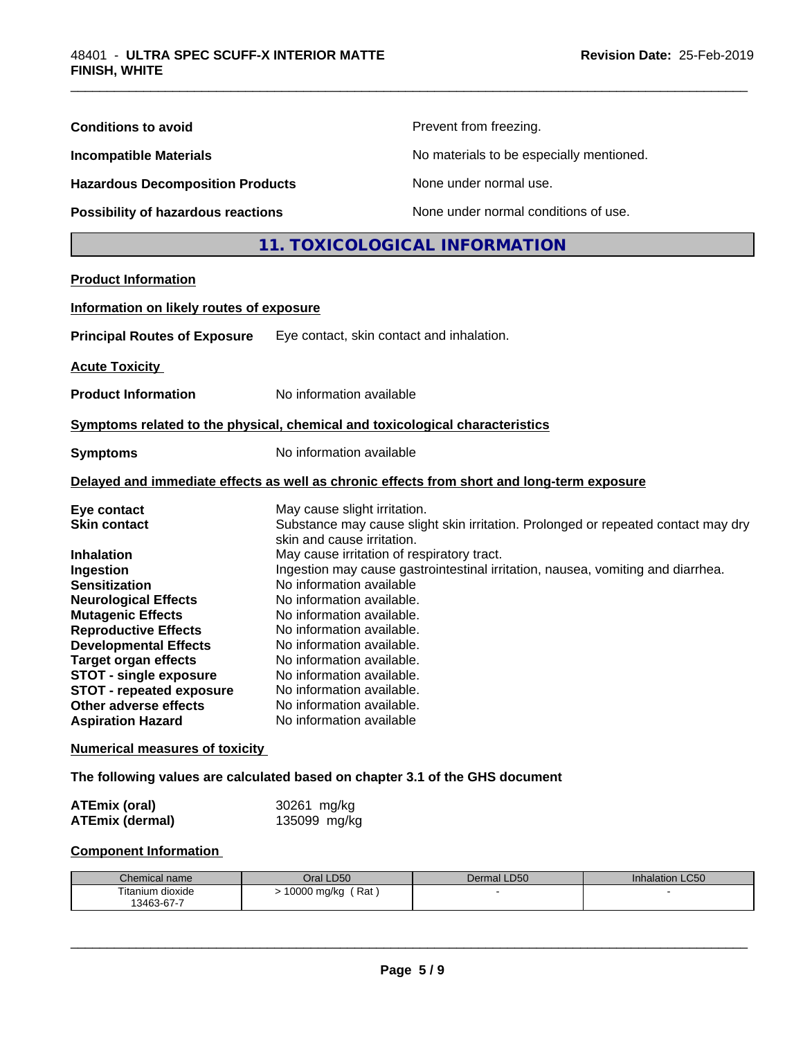| <b>Conditions to avoid</b>                                                                                                                                                                                                                                                                                                                                                                                                                                                                                                                                |                                                                                                                                                                                                                                                                                                                                                                                                                                         | Prevent from freezing.                                                                                                                                               |                        |  |
|-----------------------------------------------------------------------------------------------------------------------------------------------------------------------------------------------------------------------------------------------------------------------------------------------------------------------------------------------------------------------------------------------------------------------------------------------------------------------------------------------------------------------------------------------------------|-----------------------------------------------------------------------------------------------------------------------------------------------------------------------------------------------------------------------------------------------------------------------------------------------------------------------------------------------------------------------------------------------------------------------------------------|----------------------------------------------------------------------------------------------------------------------------------------------------------------------|------------------------|--|
| <b>Incompatible Materials</b>                                                                                                                                                                                                                                                                                                                                                                                                                                                                                                                             |                                                                                                                                                                                                                                                                                                                                                                                                                                         | No materials to be especially mentioned.                                                                                                                             |                        |  |
| <b>Hazardous Decomposition Products</b>                                                                                                                                                                                                                                                                                                                                                                                                                                                                                                                   |                                                                                                                                                                                                                                                                                                                                                                                                                                         | None under normal use.                                                                                                                                               |                        |  |
| Possibility of hazardous reactions                                                                                                                                                                                                                                                                                                                                                                                                                                                                                                                        |                                                                                                                                                                                                                                                                                                                                                                                                                                         | None under normal conditions of use.                                                                                                                                 |                        |  |
|                                                                                                                                                                                                                                                                                                                                                                                                                                                                                                                                                           |                                                                                                                                                                                                                                                                                                                                                                                                                                         | 11. TOXICOLOGICAL INFORMATION                                                                                                                                        |                        |  |
| <b>Product Information</b>                                                                                                                                                                                                                                                                                                                                                                                                                                                                                                                                |                                                                                                                                                                                                                                                                                                                                                                                                                                         |                                                                                                                                                                      |                        |  |
| Information on likely routes of exposure                                                                                                                                                                                                                                                                                                                                                                                                                                                                                                                  |                                                                                                                                                                                                                                                                                                                                                                                                                                         |                                                                                                                                                                      |                        |  |
| <b>Principal Routes of Exposure</b>                                                                                                                                                                                                                                                                                                                                                                                                                                                                                                                       | Eye contact, skin contact and inhalation.                                                                                                                                                                                                                                                                                                                                                                                               |                                                                                                                                                                      |                        |  |
| <b>Acute Toxicity</b>                                                                                                                                                                                                                                                                                                                                                                                                                                                                                                                                     |                                                                                                                                                                                                                                                                                                                                                                                                                                         |                                                                                                                                                                      |                        |  |
| <b>Product Information</b>                                                                                                                                                                                                                                                                                                                                                                                                                                                                                                                                | No information available                                                                                                                                                                                                                                                                                                                                                                                                                |                                                                                                                                                                      |                        |  |
| Symptoms related to the physical, chemical and toxicological characteristics                                                                                                                                                                                                                                                                                                                                                                                                                                                                              |                                                                                                                                                                                                                                                                                                                                                                                                                                         |                                                                                                                                                                      |                        |  |
| <b>Symptoms</b>                                                                                                                                                                                                                                                                                                                                                                                                                                                                                                                                           | No information available                                                                                                                                                                                                                                                                                                                                                                                                                |                                                                                                                                                                      |                        |  |
| Delayed and immediate effects as well as chronic effects from short and long-term exposure                                                                                                                                                                                                                                                                                                                                                                                                                                                                |                                                                                                                                                                                                                                                                                                                                                                                                                                         |                                                                                                                                                                      |                        |  |
| Eye contact<br><b>Skin contact</b><br><b>Inhalation</b><br>Ingestion<br><b>Sensitization</b><br><b>Neurological Effects</b><br><b>Mutagenic Effects</b><br><b>Reproductive Effects</b><br><b>Developmental Effects</b><br><b>Target organ effects</b><br><b>STOT - single exposure</b><br><b>STOT - repeated exposure</b><br>Other adverse effects<br><b>Aspiration Hazard</b><br><b>Numerical measures of toxicity</b><br>The following values are calculated based on chapter 3.1 of the GHS document<br><b>ATEmix (oral)</b><br><b>ATEmix (dermal)</b> | May cause slight irritation.<br>skin and cause irritation.<br>May cause irritation of respiratory tract.<br>No information available<br>No information available.<br>No information available.<br>No information available.<br>No information available.<br>No information available.<br>No information available.<br>No information available.<br>No information available.<br>No information available<br>30261 mg/kg<br>135099 mg/kg | Substance may cause slight skin irritation. Prolonged or repeated contact may dry<br>Ingestion may cause gastrointestinal irritation, nausea, vomiting and diarrhea. |                        |  |
| <b>Component Information</b>                                                                                                                                                                                                                                                                                                                                                                                                                                                                                                                              |                                                                                                                                                                                                                                                                                                                                                                                                                                         |                                                                                                                                                                      |                        |  |
| Chemical name<br>Titanium dioxide<br>13463-67-7                                                                                                                                                                                                                                                                                                                                                                                                                                                                                                           | Oral LD50<br>> 10000 mg/kg (Rat)                                                                                                                                                                                                                                                                                                                                                                                                        | Dermal LD50                                                                                                                                                          | <b>Inhalation LC50</b> |  |

\_\_\_\_\_\_\_\_\_\_\_\_\_\_\_\_\_\_\_\_\_\_\_\_\_\_\_\_\_\_\_\_\_\_\_\_\_\_\_\_\_\_\_\_\_\_\_\_\_\_\_\_\_\_\_\_\_\_\_\_\_\_\_\_\_\_\_\_\_\_\_\_\_\_\_\_\_\_\_\_\_\_\_\_\_\_\_\_\_\_\_\_\_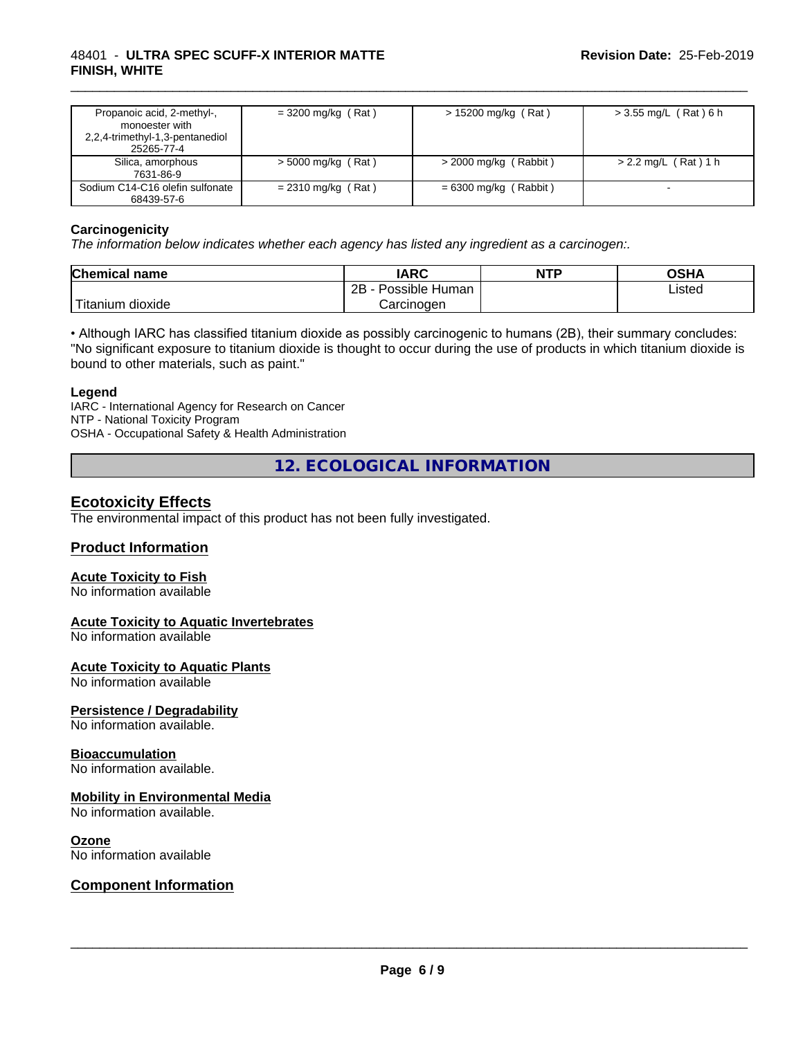#### 48401 - **ULTRA SPEC SCUFF-X INTERIOR MATTE FINISH, WHITE**

| Propanoic acid, 2-methyl-,<br>monoester with<br>2,2,4-trimethyl-1,3-pentanediol<br>25265-77-4 | $=$ 3200 mg/kg (Rat) | $> 15200$ mg/kg (Rat)   | $>$ 3.55 mg/L (Rat) 6 h |
|-----------------------------------------------------------------------------------------------|----------------------|-------------------------|-------------------------|
| Silica, amorphous<br>7631-86-9                                                                | $>$ 5000 mg/kg (Rat) | $>$ 2000 mg/kg (Rabbit) | $> 2.2$ mg/L (Rat) 1 h  |
| Sodium C14-C16 olefin sulfonate<br>68439-57-6                                                 | $= 2310$ mg/kg (Rat) | $= 6300$ mg/kg (Rabbit) |                         |

\_\_\_\_\_\_\_\_\_\_\_\_\_\_\_\_\_\_\_\_\_\_\_\_\_\_\_\_\_\_\_\_\_\_\_\_\_\_\_\_\_\_\_\_\_\_\_\_\_\_\_\_\_\_\_\_\_\_\_\_\_\_\_\_\_\_\_\_\_\_\_\_\_\_\_\_\_\_\_\_\_\_\_\_\_\_\_\_\_\_\_\_\_

#### **Carcinogenicity**

*The information below indicateswhether each agency has listed any ingredient as a carcinogen:.*

| <b>Chemical name</b>  | <b>IARC</b>                    | <b>NTP</b> | <b>OGH</b><br>∪אח |
|-----------------------|--------------------------------|------------|-------------------|
|                       | .<br>2B<br>: Human<br>Possible |            | Listed            |
| .<br>litanium dioxide | Carcinoɑen                     |            |                   |

• Although IARC has classified titanium dioxide as possibly carcinogenic to humans (2B), their summary concludes: "No significant exposure to titanium dioxide is thought to occur during the use of products in which titanium dioxide is bound to other materials, such as paint."

#### **Legend**

IARC - International Agency for Research on Cancer NTP - National Toxicity Program OSHA - Occupational Safety & Health Administration

**12. ECOLOGICAL INFORMATION**

## **Ecotoxicity Effects**

The environmental impact of this product has not been fully investigated.

#### **Product Information**

#### **Acute Toxicity to Fish**

No information available

#### **Acute Toxicity to Aquatic Invertebrates**

No information available

#### **Acute Toxicity to Aquatic Plants**

No information available

#### **Persistence / Degradability**

No information available.

#### **Bioaccumulation**

No information available.

#### **Mobility in Environmental Media**

No information available.

#### **Ozone**

No information available

#### **Component Information**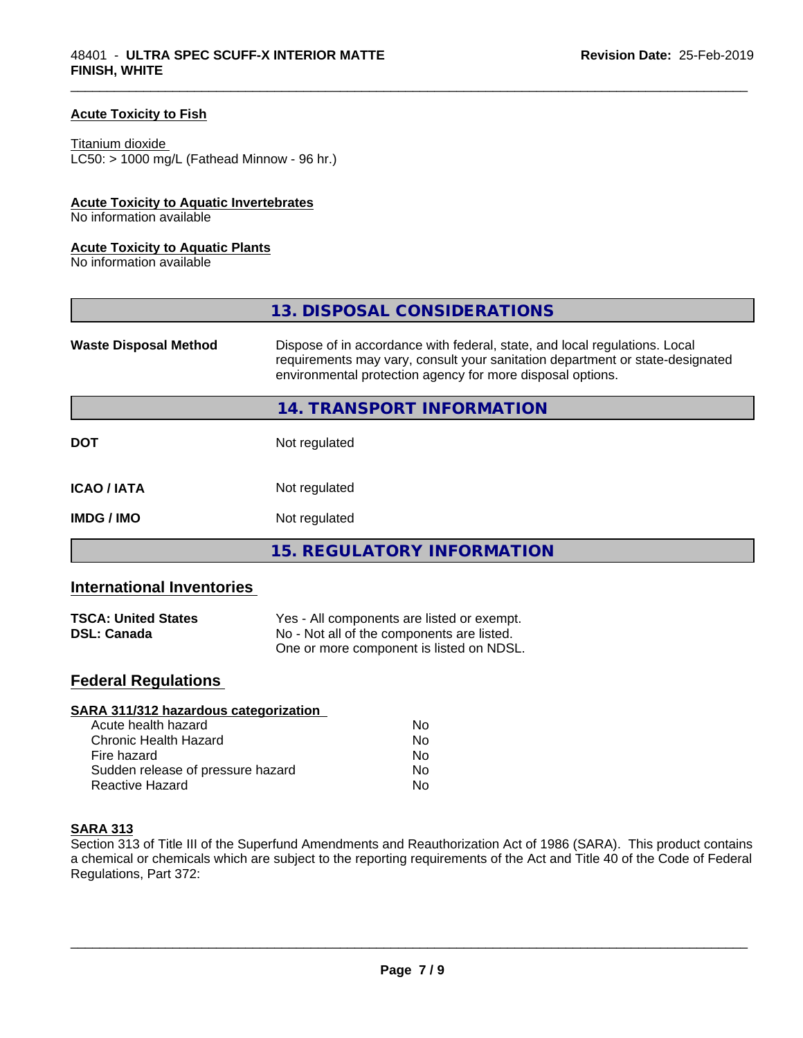#### **Acute Toxicity to Fish**

#### Titanium dioxide

 $LC50:$  > 1000 mg/L (Fathead Minnow - 96 hr.)

#### **Acute Toxicity to Aquatic Invertebrates**

No information available

#### **Acute Toxicity to Aquatic Plants**

No information available

|                              | 13. DISPOSAL CONSIDERATIONS                                                                                                                                                                                               |
|------------------------------|---------------------------------------------------------------------------------------------------------------------------------------------------------------------------------------------------------------------------|
| <b>Waste Disposal Method</b> | Dispose of in accordance with federal, state, and local regulations. Local<br>requirements may vary, consult your sanitation department or state-designated<br>environmental protection agency for more disposal options. |
|                              | 14. TRANSPORT INFORMATION                                                                                                                                                                                                 |
| <b>DOT</b>                   | Not regulated                                                                                                                                                                                                             |
| <b>ICAO/IATA</b>             | Not regulated                                                                                                                                                                                                             |
| <b>IMDG / IMO</b>            | Not regulated                                                                                                                                                                                                             |
|                              | 15. REGULATORY INFORMATION                                                                                                                                                                                                |

\_\_\_\_\_\_\_\_\_\_\_\_\_\_\_\_\_\_\_\_\_\_\_\_\_\_\_\_\_\_\_\_\_\_\_\_\_\_\_\_\_\_\_\_\_\_\_\_\_\_\_\_\_\_\_\_\_\_\_\_\_\_\_\_\_\_\_\_\_\_\_\_\_\_\_\_\_\_\_\_\_\_\_\_\_\_\_\_\_\_\_\_\_

# **International Inventories**

| <b>TSCA: United States</b> | Yes - All components are listed or exempt. |  |
|----------------------------|--------------------------------------------|--|
| <b>DSL: Canada</b>         | No - Not all of the components are listed. |  |
|                            | One or more component is listed on NDSL.   |  |

# **Federal Regulations**

| SARA 311/312 hazardous categorization |    |  |
|---------------------------------------|----|--|
| Acute health hazard                   | Nο |  |
| Chronic Health Hazard                 | No |  |
| Fire hazard                           | No |  |
| Sudden release of pressure hazard     | Nο |  |
| Reactive Hazard                       | No |  |

#### **SARA 313**

Section 313 of Title III of the Superfund Amendments and Reauthorization Act of 1986 (SARA). This product contains a chemical or chemicals which are subject to the reporting requirements of the Act and Title 40 of the Code of Federal Regulations, Part 372: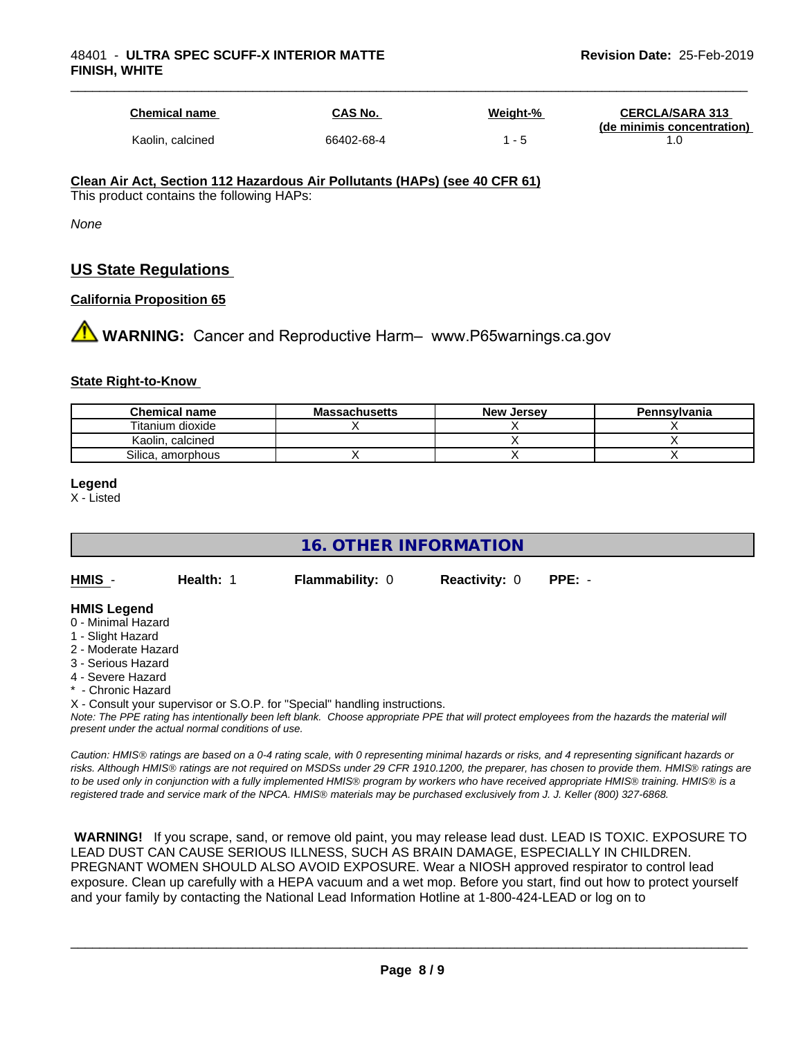| <b>Chemical name</b> | CAS No.    | Weight-% | <b>CERCLA/SARA 313</b><br>(de minimis concentration) |
|----------------------|------------|----------|------------------------------------------------------|
| Kaolin, calcined     | 66402-68-4 | - 5      |                                                      |

\_\_\_\_\_\_\_\_\_\_\_\_\_\_\_\_\_\_\_\_\_\_\_\_\_\_\_\_\_\_\_\_\_\_\_\_\_\_\_\_\_\_\_\_\_\_\_\_\_\_\_\_\_\_\_\_\_\_\_\_\_\_\_\_\_\_\_\_\_\_\_\_\_\_\_\_\_\_\_\_\_\_\_\_\_\_\_\_\_\_\_\_\_

#### **Clean Air Act,Section 112 Hazardous Air Pollutants (HAPs) (see 40 CFR 61)**

This product contains the following HAPs:

*None*

# **US State Regulations**

#### **California Proposition 65**

**1** WARNING: Cancer and Reproductive Harm– www.P65warnings.ca.gov

#### **State Right-to-Know**

| <b>Chemical name</b> | <b>Massachusetts</b> | <b>New Jersey</b> | Pennsylvania |
|----------------------|----------------------|-------------------|--------------|
| Titanium dioxide     |                      |                   |              |
| Kaolin, calcined     |                      |                   |              |
| Silica, amorphous    |                      |                   |              |

#### **Legend**

X - Listed

# **16. OTHER INFORMATION**

**HMIS** - **Health:** 1 **Flammability:** 0 **Reactivity:** 0 **PPE:** -

#### **HMIS Legend**

- 0 Minimal Hazard
- 1 Slight Hazard
- 2 Moderate Hazard
- 3 Serious Hazard
- 4 Severe Hazard
- **Chronic Hazard**
- X Consult your supervisor or S.O.P. for "Special" handling instructions.

*Note: The PPE rating has intentionally been left blank. Choose appropriate PPE that will protect employees from the hazards the material will present under the actual normal conditions of use.*

*Caution: HMISÒ ratings are based on a 0-4 rating scale, with 0 representing minimal hazards or risks, and 4 representing significant hazards or risks. Although HMISÒ ratings are not required on MSDSs under 29 CFR 1910.1200, the preparer, has chosen to provide them. HMISÒ ratings are to be used only in conjunction with a fully implemented HMISÒ program by workers who have received appropriate HMISÒ training. HMISÒ is a registered trade and service mark of the NPCA. HMISÒ materials may be purchased exclusively from J. J. Keller (800) 327-6868.*

 **WARNING!** If you scrape, sand, or remove old paint, you may release lead dust. LEAD IS TOXIC. EXPOSURE TO LEAD DUST CAN CAUSE SERIOUS ILLNESS, SUCH AS BRAIN DAMAGE, ESPECIALLY IN CHILDREN. PREGNANT WOMEN SHOULD ALSO AVOID EXPOSURE.Wear a NIOSH approved respirator to control lead exposure. Clean up carefully with a HEPA vacuum and a wet mop. Before you start, find out how to protect yourself and your family by contacting the National Lead Information Hotline at 1-800-424-LEAD or log on to